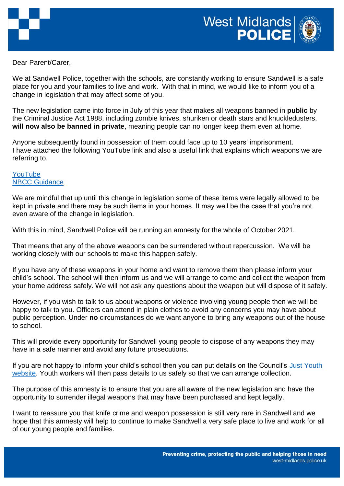

Dear Parent/Carer,

We at Sandwell Police, together with the schools, are constantly working to ensure Sandwell is a safe place for you and your families to live and work. With that in mind, we would like to inform you of a change in legislation that may affect some of you.

The new legislation came into force in July of this year that makes all weapons banned in **public** by the Criminal Justice Act 1988, including zombie knives, shuriken or death stars and knuckledusters, **will now also be banned in private**, meaning people can no longer keep them even at home.

Anyone subsequently found in possession of them could face up to 10 years' imprisonment. I have attached the following YouTube link and also a useful link that explains which weapons we are referring to.

[YouTube](https://youtu.be/YiKSCEPcseE) [NBCC Guidance](https://nbcc.police.uk/guidance/offensive-weapons-act-2019)

We are mindful that up until this change in legislation some of these items were legally allowed to be kept in private and there may be such items in your homes. It may well be the case that you're not even aware of the change in legislation.

With this in mind, Sandwell Police will be running an amnesty for the whole of October 2021.

That means that any of the above weapons can be surrendered without repercussion. We will be working closely with our schools to make this happen safely.

If you have any of these weapons in your home and want to remove them then please inform your child's school. The school will then inform us and we will arrange to come and collect the weapon from your home address safely. We will not ask any questions about the weapon but will dispose of it safely.

However, if you wish to talk to us about weapons or violence involving young people then we will be happy to talk to you. Officers can attend in plain clothes to avoid any concerns you may have about public perception. Under **no** circumstances do we want anyone to bring any weapons out of the house to school.

This will provide every opportunity for Sandwell young people to dispose of any weapons they may have in a safe manner and avoid any future prosecutions.

If you are not happy to inform your child's school then you can put details on the Council's Just Youth [website.](https://www.justyouth.org.uk/) Youth workers will then pass details to us safely so that we can arrange collection.

The purpose of this amnesty is to ensure that you are all aware of the new legislation and have the opportunity to surrender illegal weapons that may have been purchased and kept legally.

I want to reassure you that knife crime and weapon possession is still very rare in Sandwell and we hope that this amnesty will help to continue to make Sandwell a very safe place to live and work for all of our young people and families.